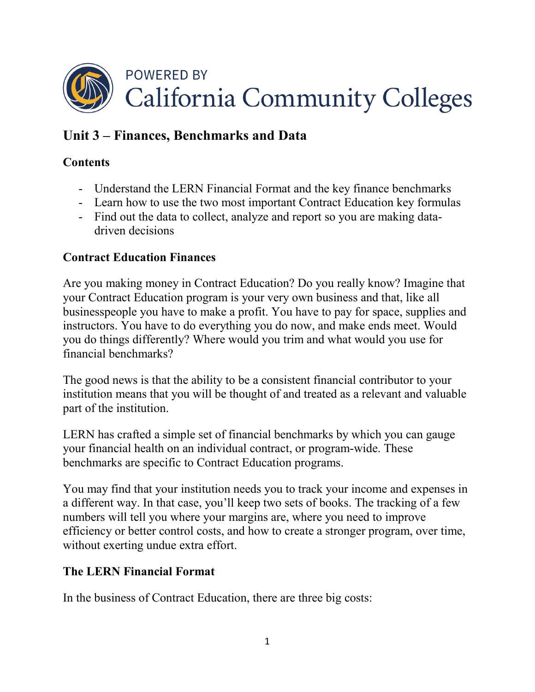

# **Unit 3 – Finances, Benchmarks and Data**

# **Contents**

- Understand the LERN Financial Format and the key finance benchmarks
- Learn how to use the two most important Contract Education key formulas
- Find out the data to collect, analyze and report so you are making datadriven decisions

# **Contract Education Finances**

Are you making money in Contract Education? Do you really know? Imagine that your Contract Education program is your very own business and that, like all businesspeople you have to make a profit. You have to pay for space, supplies and instructors. You have to do everything you do now, and make ends meet. Would you do things differently? Where would you trim and what would you use for financial benchmarks?

The good news is that the ability to be a consistent financial contributor to your institution means that you will be thought of and treated as a relevant and valuable part of the institution.

LERN has crafted a simple set of financial benchmarks by which you can gauge your financial health on an individual contract, or program-wide. These benchmarks are specific to Contract Education programs.

You may find that your institution needs you to track your income and expenses in a different way. In that case, you'll keep two sets of books. The tracking of a few numbers will tell you where your margins are, where you need to improve efficiency or better control costs, and how to create a stronger program, over time, without exerting undue extra effort.

# **The LERN Financial Format**

In the business of Contract Education, there are three big costs: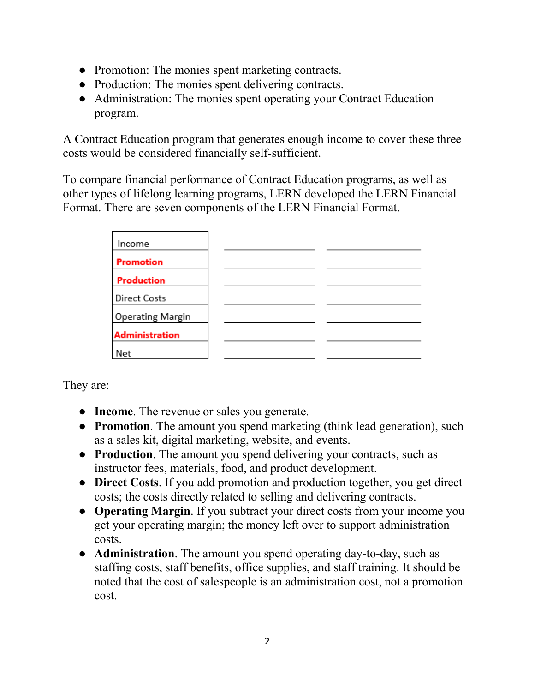- Promotion: The monies spent marketing contracts.
- Production: The monies spent delivering contracts.
- Administration: The monies spent operating your Contract Education program.

A Contract Education program that generates enough income to cover these three costs would be considered financially self-sufficient.

To compare financial performance of Contract Education programs, as well as other types of lifelong learning programs, LERN developed the LERN Financial Format. There are seven components of the LERN Financial Format.

| Income              |  |
|---------------------|--|
| Promotion           |  |
| Production          |  |
| <b>Direct Costs</b> |  |
| Operating Margin    |  |
| Administration      |  |
| Net                 |  |

They are:

- **Income**. The revenue or sales you generate.
- **Promotion**. The amount you spend marketing (think lead generation), such as a sales kit, digital marketing, website, and events.
- **Production**. The amount you spend delivering your contracts, such as instructor fees, materials, food, and product development.
- **Direct Costs**. If you add promotion and production together, you get direct costs; the costs directly related to selling and delivering contracts.
- **Operating Margin**. If you subtract your direct costs from your income you get your operating margin; the money left over to support administration costs.
- **Administration**. The amount you spend operating day-to-day, such as staffing costs, staff benefits, office supplies, and staff training. It should be noted that the cost of salespeople is an administration cost, not a promotion cost.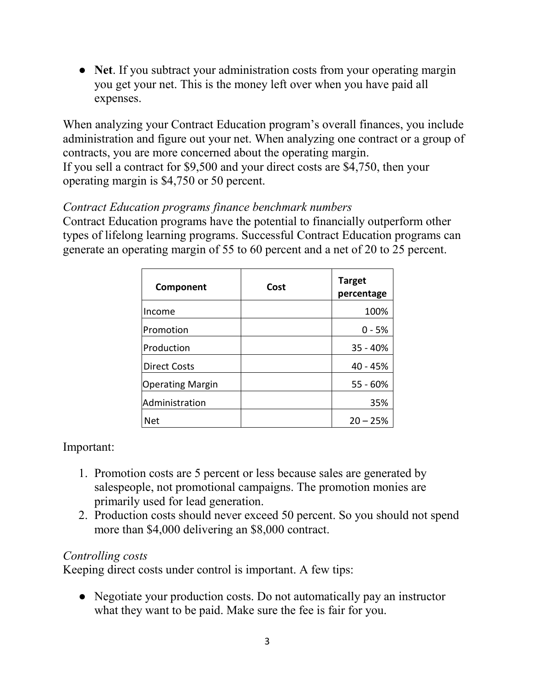• **Net**. If you subtract your administration costs from your operating margin you get your net. This is the money left over when you have paid all expenses.

When analyzing your Contract Education program's overall finances, you include administration and figure out your net. When analyzing one contract or a group of contracts, you are more concerned about the operating margin. If you sell a contract for \$9,500 and your direct costs are \$4,750, then your operating margin is \$4,750 or 50 percent.

#### *Contract Education programs finance benchmark numbers*

Contract Education programs have the potential to financially outperform other types of lifelong learning programs. Successful Contract Education programs can generate an operating margin of 55 to 60 percent and a net of 20 to 25 percent.

| Component               | Cost | <b>Target</b><br>percentage |
|-------------------------|------|-----------------------------|
| Income                  |      | 100%                        |
| Promotion               |      | $0 - 5%$                    |
| Production              |      | $35 - 40%$                  |
| <b>Direct Costs</b>     |      | 40 - 45%                    |
| <b>Operating Margin</b> |      | $55 - 60%$                  |
| Administration          |      | 35%                         |
| <b>Net</b>              |      | $20 - 25%$                  |

Important:

- 1. Promotion costs are 5 percent or less because sales are generated by salespeople, not promotional campaigns. The promotion monies are primarily used for lead generation.
- 2. Production costs should never exceed 50 percent. So you should not spend more than \$4,000 delivering an \$8,000 contract.

# *Controlling costs*

Keeping direct costs under control is important. A few tips:

• Negotiate your production costs. Do not automatically pay an instructor what they want to be paid. Make sure the fee is fair for you.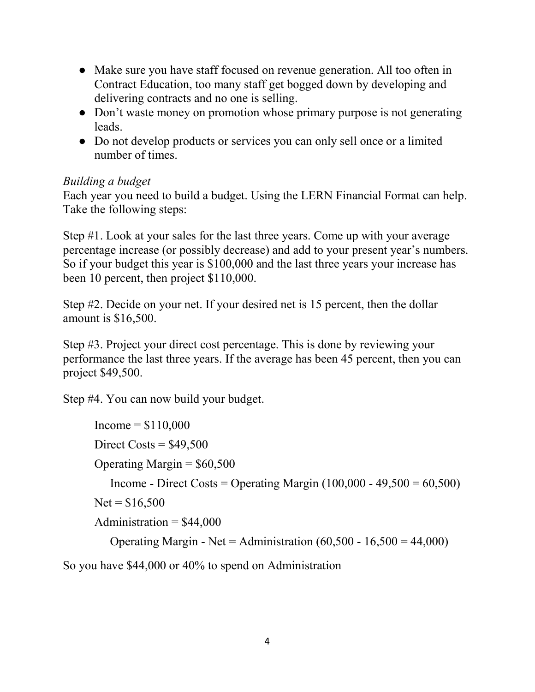- Make sure you have staff focused on revenue generation. All too often in Contract Education, too many staff get bogged down by developing and delivering contracts and no one is selling.
- Don't waste money on promotion whose primary purpose is not generating leads.
- Do not develop products or services you can only sell once or a limited number of times.

# *Building a budget*

Each year you need to build a budget. Using the LERN Financial Format can help. Take the following steps:

Step #1. Look at your sales for the last three years. Come up with your average percentage increase (or possibly decrease) and add to your present year's numbers. So if your budget this year is \$100,000 and the last three years your increase has been 10 percent, then project \$110,000.

Step #2. Decide on your net. If your desired net is 15 percent, then the dollar amount is \$16,500.

Step #3. Project your direct cost percentage. This is done by reviewing your performance the last three years. If the average has been 45 percent, then you can project \$49,500.

Step #4. You can now build your budget.

 $Income = $110,000$ Direct Costs  $=$  \$49,500 Operating Margin  $=$  \$60,500 Income - Direct Costs = Operating Margin (100,000 - 49,500 =  $60,500$ )  $Net = $16,500$ Administration  $=$  \$44,000 Operating Margin - Net = Administration  $(60,500 - 16,500 = 44,000)$ 

So you have \$44,000 or 40% to spend on Administration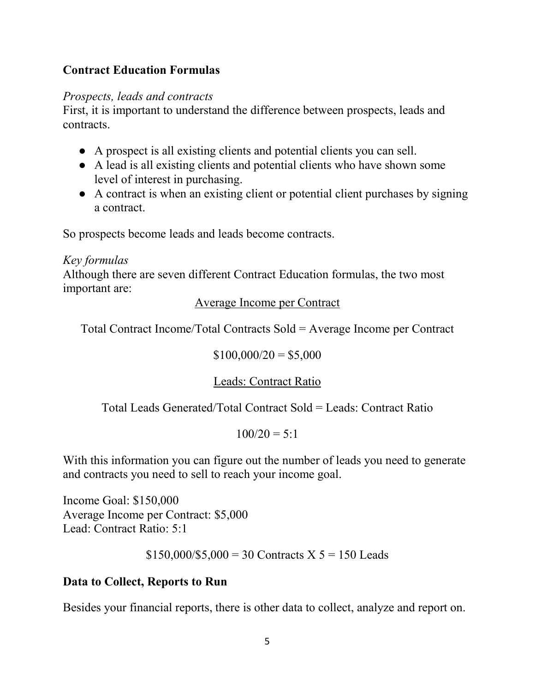# **Contract Education Formulas**

#### *Prospects, leads and contracts*

First, it is important to understand the difference between prospects, leads and contracts.

- A prospect is all existing clients and potential clients you can sell.
- A lead is all existing clients and potential clients who have shown some level of interest in purchasing.
- A contract is when an existing client or potential client purchases by signing a contract.

So prospects become leads and leads become contracts.

#### *Key formulas*

Although there are seven different Contract Education formulas, the two most important are:

#### Average Income per Contract

Total Contract Income/Total Contracts Sold = Average Income per Contract

$$
100,000/20 = $5,000
$$

#### Leads: Contract Ratio

Total Leads Generated/Total Contract Sold = Leads: Contract Ratio

$$
100/20=5\mathrm{:}1
$$

With this information you can figure out the number of leads you need to generate and contracts you need to sell to reach your income goal.

Income Goal: \$150,000 Average Income per Contract: \$5,000 Lead: Contract Ratio: 5:1

 $$150,000/\$5,000 = 30$  Contracts X  $5 = 150$  Leads

#### **Data to Collect, Reports to Run**

Besides your financial reports, there is other data to collect, analyze and report on.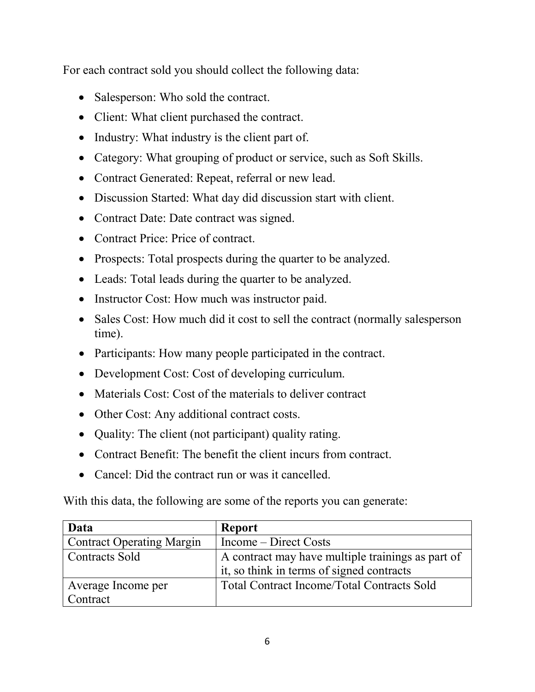For each contract sold you should collect the following data:

- Salesperson: Who sold the contract.
- Client: What client purchased the contract.
- Industry: What industry is the client part of.
- Category: What grouping of product or service, such as Soft Skills.
- Contract Generated: Repeat, referral or new lead.
- Discussion Started: What day did discussion start with client.
- Contract Date: Date contract was signed.
- Contract Price: Price of contract.
- Prospects: Total prospects during the quarter to be analyzed.
- Leads: Total leads during the quarter to be analyzed.
- Instructor Cost: How much was instructor paid.
- Sales Cost: How much did it cost to sell the contract (normally salesperson time).
- Participants: How many people participated in the contract.
- Development Cost: Cost of developing curriculum.
- Materials Cost: Cost of the materials to deliver contract
- Other Cost: Any additional contract costs.
- Quality: The client (not participant) quality rating.
- Contract Benefit: The benefit the client incurs from contract.
- Cancel: Did the contract run or was it cancelled.

With this data, the following are some of the reports you can generate:

| Data                             | <b>Report</b>                                     |
|----------------------------------|---------------------------------------------------|
| <b>Contract Operating Margin</b> | Income – Direct Costs                             |
| Contracts Sold                   | A contract may have multiple trainings as part of |
|                                  | it, so think in terms of signed contracts         |
| Average Income per               | <b>Total Contract Income/Total Contracts Sold</b> |
| Contract                         |                                                   |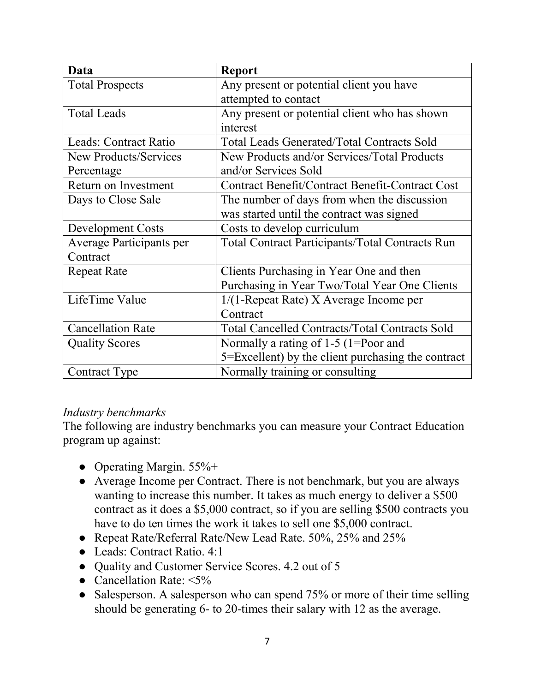| Data                     | <b>Report</b>                                          |  |  |
|--------------------------|--------------------------------------------------------|--|--|
| <b>Total Prospects</b>   | Any present or potential client you have               |  |  |
|                          | attempted to contact                                   |  |  |
| <b>Total Leads</b>       | Any present or potential client who has shown          |  |  |
|                          | interest                                               |  |  |
| Leads: Contract Ratio    | <b>Total Leads Generated/Total Contracts Sold</b>      |  |  |
| New Products/Services    | New Products and/or Services/Total Products            |  |  |
| Percentage               | and/or Services Sold                                   |  |  |
| Return on Investment     | Contract Benefit/Contract Benefit-Contract Cost        |  |  |
| Days to Close Sale       | The number of days from when the discussion            |  |  |
|                          | was started until the contract was signed              |  |  |
| <b>Development Costs</b> | Costs to develop curriculum                            |  |  |
| Average Participants per | <b>Total Contract Participants/Total Contracts Run</b> |  |  |
| Contract                 |                                                        |  |  |
| <b>Repeat Rate</b>       | Clients Purchasing in Year One and then                |  |  |
|                          | Purchasing in Year Two/Total Year One Clients          |  |  |
| LifeTime Value           | $1/(1)$ -Repeat Rate) X Average Income per             |  |  |
|                          | Contract                                               |  |  |
| <b>Cancellation Rate</b> | <b>Total Cancelled Contracts/Total Contracts Sold</b>  |  |  |
| <b>Quality Scores</b>    | Normally a rating of 1-5 (1=Poor and                   |  |  |
|                          | 5=Excellent) by the client purchasing the contract     |  |  |
| Contract Type            | Normally training or consulting                        |  |  |

# *Industry benchmarks*

The following are industry benchmarks you can measure your Contract Education program up against:

- Operating Margin.  $55\%$ +
- Average Income per Contract. There is not benchmark, but you are always wanting to increase this number. It takes as much energy to deliver a \$500 contract as it does a \$5,000 contract, so if you are selling \$500 contracts you have to do ten times the work it takes to sell one \$5,000 contract.
- Repeat Rate/Referral Rate/New Lead Rate. 50%, 25% and 25%
- Leads: Contract Ratio. 4:1
- Quality and Customer Service Scores. 4.2 out of 5
- Cancellation Rate:  $\leq 5\%$
- Salesperson. A salesperson who can spend 75% or more of their time selling should be generating 6- to 20-times their salary with 12 as the average.